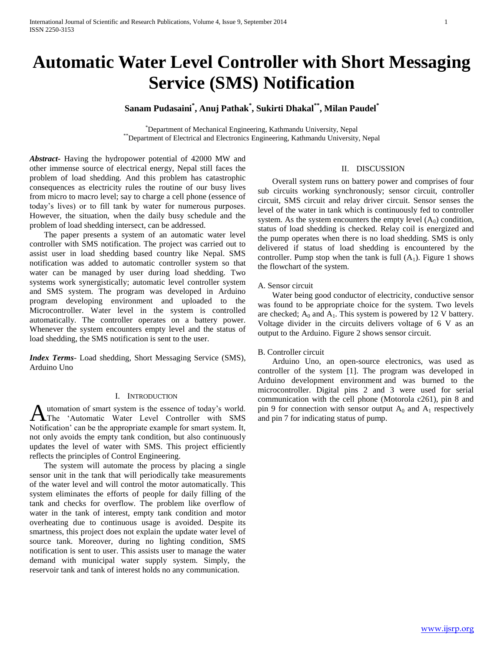# **Automatic Water Level Controller with Short Messaging Service (SMS) Notification**

# **Sanam Pudasaini\* , Anuj Pathak\* , Sukirti Dhakal\*\*, Milan Paudel\***

\*Department of Mechanical Engineering, Kathmandu University, Nepal \*\*Department of Electrical and Electronics Engineering, Kathmandu University, Nepal

*Abstract***-** Having the hydropower potential of 42000 MW and other immense source of electrical energy, Nepal still faces the problem of load shedding. And this problem has catastrophic consequences as electricity rules the routine of our busy lives from micro to macro level; say to charge a cell phone (essence of today's lives) or to fill tank by water for numerous purposes. However, the situation, when the daily busy schedule and the problem of load shedding intersect, can be addressed.

 The paper presents a system of an automatic water level controller with SMS notification. The project was carried out to assist user in load shedding based country like Nepal. SMS notification was added to automatic controller system so that water can be managed by user during load shedding. Two systems work synergistically; automatic level controller system and SMS system. The program was developed in Arduino program developing environment and uploaded to the Microcontroller. Water level in the system is controlled automatically. The controller operates on a battery power. Whenever the system encounters empty level and the status of load shedding, the SMS notification is sent to the user.

*Index Terms*- Load shedding, Short Messaging Service (SMS), Arduino Uno

#### I. INTRODUCTION

utomation of smart system is the essence of today's world. **Automation of smart system is the essence of today's world.** pin 9 for connection with sensor output  $A_0$  and  $A_1$  respectively and pin 7 for indicating status of pump. Notification' can be the appropriate example for smart system. It, not only avoids the empty tank condition, but also continuously updates the level of water with SMS. This project efficiently reflects the principles of Control Engineering.

 The system will automate the process by placing a single sensor unit in the tank that will periodically take measurements of the water level and will control the motor automatically. This system eliminates the efforts of people for daily filling of the tank and checks for overflow. The problem like overflow of water in the tank of interest, empty tank condition and motor overheating due to continuous usage is avoided. Despite its smartness, this project does not explain the update water level of source tank. Moreover, during no lighting condition, SMS notification is sent to user. This assists user to manage the water demand with municipal water supply system. Simply, the reservoir tank and tank of interest holds no any communication.

### II. DISCUSSION

 Overall system runs on battery power and comprises of four sub circuits working synchronously; sensor circuit, controller circuit, SMS circuit and relay driver circuit. Sensor senses the level of the water in tank which is continuously fed to controller system. As the system encounters the empty level  $(A_0)$  condition, status of load shedding is checked. Relay coil is energized and the pump operates when there is no load shedding. SMS is only delivered if status of load shedding is encountered by the controller. Pump stop when the tank is full  $(A_1)$ . Figure 1 shows the flowchart of the system.

## A. Sensor circuit

 Water being good conductor of electricity, conductive sensor was found to be appropriate choice for the system. Two levels are checked;  $A_0$  and  $A_1$ . This system is powered by 12 V battery. Voltage divider in the circuits delivers voltage of 6 V as an output to the Arduino. Figure 2 shows sensor circuit.

#### B. Controller circuit

 Arduino Uno, an open-source electronics, was used as controller of the system [1]. The program was developed in Arduino development environment and was burned to the microcontroller. Digital pins 2 and 3 were used for serial communication with the cell phone (Motorola c261), pin 8 and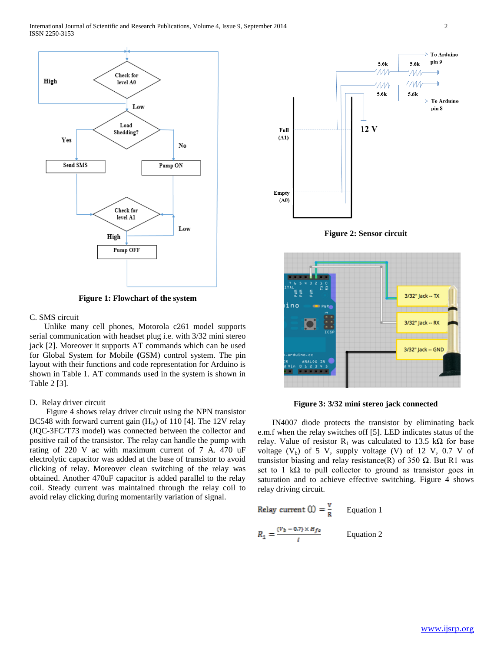

**Figure 1: Flowchart of the system**

#### C. SMS circuit

 Unlike many cell phones, Motorola c261 model supports serial communication with headset plug i.e. with 3/32 mini stereo jack [2]. Moreover it supports AT commands which can be used for Global System for Mobile **(**GSM) control system. The pin layout with their functions and code representation for Arduino is shown in Table 1. AT commands used in the system is shown in Table 2 [3].

#### D. Relay driver circuit

 Figure 4 shows relay driver circuit using the NPN transistor BC548 with forward current gain  $(H_{fe})$  of 110 [4]. The 12V relay (JQC-3FC/T73 model) was connected between the collector and positive rail of the transistor. The relay can handle the pump with rating of 220 V ac with maximum current of 7 A. 470 uF electrolytic capacitor was added at the base of transistor to avoid clicking of relay. Moreover clean switching of the relay was obtained. Another 470uF capacitor is added parallel to the relay coil. Steady current was maintained through the relay coil to avoid relay clicking during momentarily variation of signal.





**Figure 3: 3/32 mini stereo jack connected**

 IN4007 diode protects the transistor by eliminating back e.m.f when the relay switches off [5]. LED indicates status of the relay. Value of resistor R<sub>1</sub> was calculated to 13.5 k $\Omega$  for base voltage  $(V_b)$  of 5 V, supply voltage (V) of 12 V, 0.7 V of transistor biasing and relay resistance(R) of 350  $Ω$ . But R1 was set to 1 kΩ to pull collector to ground as transistor goes in saturation and to achieve effective switching. Figure 4 shows relay driving circuit.

Relay current (I) = 
$$
\frac{v}{R}
$$
 Equation 1  

$$
R_1 = \frac{(v_b - 0.7) \times H_{fe}}{I}
$$
 Equation 2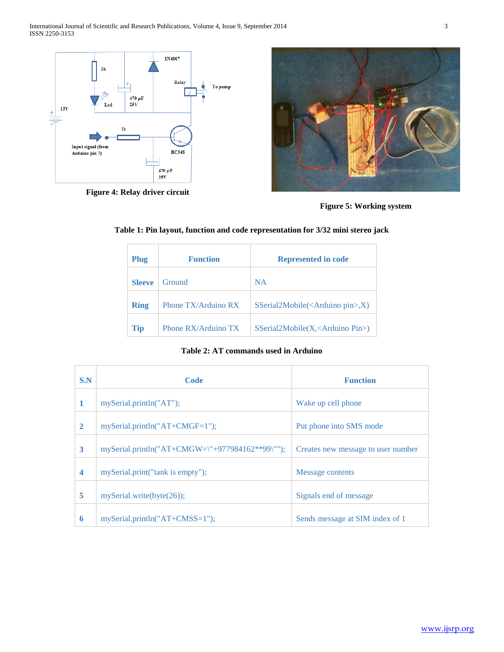

**Figure 4: Relay driver circuit**





| Plug          | <b>Function</b>       | <b>Represented in code</b>                                    |
|---------------|-----------------------|---------------------------------------------------------------|
| <b>Sleeve</b> | Ground                | <b>NA</b>                                                     |
| <b>Ring</b>   | Phone TX/Arduino RX   | $S\text{Serial2Mobile}(\langle \text{Arduino pin}\rangle, X)$ |
| <b>Tip</b>    | Phone $RX/Arduino TX$ | $S\text{Serial2Mobile}(X, < \text{Arduino Pin>})$             |

**Table 1: Pin layout, function and code representation for 3/32 mini stereo jack**

**Table 2: AT commands used in Arduino**

| S.N                     | Code                                            | <b>Function</b>                    |
|-------------------------|-------------------------------------------------|------------------------------------|
| 1                       | mySerial.println("AT");                         | Wake up cell phone                 |
| $\mathbf{2}$            | $my\text{Serial.println("AT+CMGF=1");}$         | Put phone into SMS mode            |
| 3                       | mySerial.println("AT+CMGW=\"+977984162**99\""); | Creates new message to user number |
| $\overline{\mathbf{4}}$ | mySerial.print("tank is empty");                | Message contents                   |
| 5                       | mySerial.write(byte(26));                       | Signals end of message             |
| 6                       | $mySerial.println("AT+CMS=1")$ ;                | Sends message at SIM index of 1    |